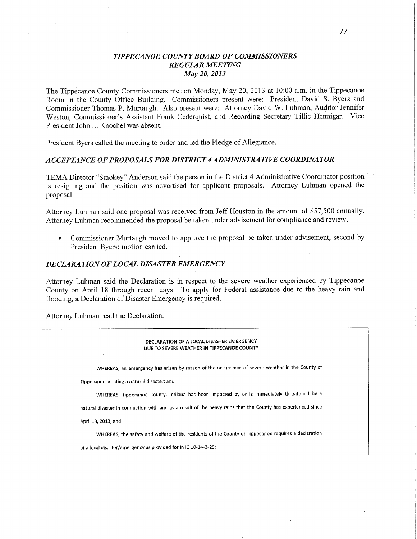## *TIPPECANOE COUNTYBOARD* OF *COMMISSIONERS REGULAR MEETING*  May 20, *2013*

The Tippécanoe County Commissioners met on Monday, May 20, 2013 at 10:00 am. in the Tippecanoe Room in the County **Office** Building. Commissioners present were: President David S. Byers and Commissioner Thomas P. Murtaugh. Also present were: Attorney David W. Luhman, Auditor Jennifer Weston, Commissioner's Assistant Frank Cederquist, and Recording Secretary Tillie **Hennigar. Vice**  President John L. Knochel was absent.

President Byers called the meeting to order and led the Pledge of Allegiance.

#### *ACCEPTANCE* OF *PROPOSALS* FOR *DISTRICT 4 ADMINISTRA* TI VE *COORDINATOR*

TEMA Director "Smokey" Anderson said the person in the District 4 Administrative Coordinator position is resigning and the position was advertised for applicant proposals. Attorney Luhman opened the proposal. *.* 

Attorney **Luhman** said one proposal was received from Jeff Houston in the amount of \$57,500 annually. Attorney Luhman recommended the proposal be taken under advisement for compliance and review.

• Commissioner Murtaugh moved to approve the proposal be taken under advisement, second by President Byers; motion carried.

## *DECLARATION* OF *LOCAL DISASTER EMERGENCY*

Attorney Luhman said the Declaration is in respect to the severe weather experienced by Tippecanoe County on April 18 through recent days. To apply for Federal assistance due to the heavy rain and **flooding,** a Declaration of Disaster Emergency is required.

Attorney Luhman read the Declaration.

| DECLARATION OF A LOCAL DISASTER EMERGENCY<br>$\cdots$<br>DUE TO SEVERE WEATHER IN TIPPECANOE COUNTY          |
|--------------------------------------------------------------------------------------------------------------|
| $\cdot$<br>WHEREAS, an emergency has arisen by reason of the occurrence of severe weather in the County of   |
| Tippecanoe creating a natural disaster; and                                                                  |
| WHEREAS, Tippecanoe County, Indiana has been impacted by or is immediately threatened by a                   |
| natural disaster in connection with and as a result of the heavy rains that the County has experienced since |
| April 18, 2013; and                                                                                          |
| WHEREAS, the safety and welfare of the residents of the County of Tippecanoe requires a declaration          |
| of a local disaster/emergency as provided for in IC 10-14-3-29;                                              |
|                                                                                                              |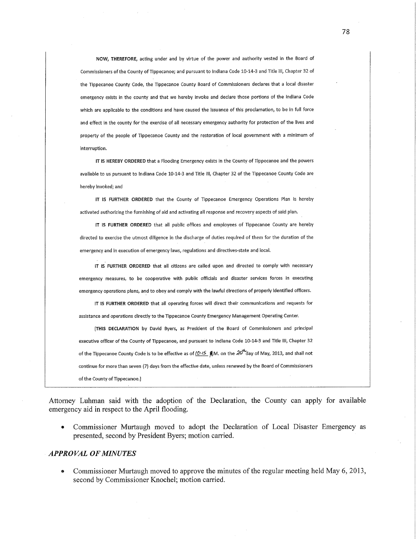**NOW, THEREFORE, actlng** under **and by** virtue **of the** power **and** authority **vested in the Board of Commissioners of the** County **of Tlppecanoe; and pursuant to Indiana Code** 10-14-3 **and** Title III, **Chapter 32 of I the Tippecanoe** County Code, **the-Tlppecanoe** County Board **of Commlssloners declares** that **a** local **dlsaster emergency** exlsts **In the** county **and** that **we** hereby Invoke **and declare those portions of the Indiana Code**  which are applicable to the conditions and have caused the issuance of this proclamation, to be in full force **and effect In the** county **for the exerclse of all necessary** emergency authority **for protection of the** llves **and property of the people of Tippecanoe** County **and the restoration of local** government **with a minimum of lnterruptlon.** 

**IT Is HEREBY ORDERED** that a **qodlng Emergency exl'sts In the** County **of Tippecanoe and the powers**  avallable **to us** pursuant **to** Indiana **Code 10-14-3 and Title m, Chapter 32 of the Tippecanoe** County **Code are**   $h$ ereby *invoked*; and

**IT IS FURTHER** ORDERED **that the County of Tippecanoe Emergency Operations Ptan ls** hereby **actlvated authorlzlng the furnlshlng of aid and activating all** respofise **and** recovery **aspects of said** plan.

**IT IS FURTHER ORDERED that all publlc offices and employees of Tippecanoe** County **are hereby**  directed to exercise the utmost diligence in the discharge of duties required of them for the duration of the **emergency and in execution of emergency laws, regulations and directives-state and local.** 

**l+ IS' FURTHER ORDERED** that **all cltlzens are** called upon **and directed to** comply with **necessary emergency measures, to be cooperative with public officials and dlsaster servlces forces In execfitlng emergency operatlons plans, an}! to obey and comply with the** lawful **directions of** properly **Identified officers.** 

**IT IS FURTHER ORDERED that all operating forces** will **direct** thelr **communicatlons and requests for asslstance and operations directly to the Tippecanoe County Emergency Management Operatlng Center.** 

**[THts DECLARATION by** Davld **Byers, as President of the Board of Commissioners and principal executive officer of the** County **of Tlppecanoe, and** pursuaht **to Indiana Code** 10-14—3 **and** Title III, **Chapter 32**  of the Tippecanoe County Code is to be effective as of  $(0.15 \text{ g} \text{M})$ , on the  $20^{4}$  day of May, 2013, and shall not continue for more than seven (7) days from the effective date, unless renewed by the Board of Commissioners **of the County of Tlppecanoe.]** 

Attorney Luhman said with **the** adoption **of the** Declaration, **the** County **can** apply **for** available emergency **aid in** respect **to the** April flooding.

**0** Commissioner Murtaugh moved **to** adopt **the** Declaration **of** Local Disaster Emergency **as**  presented, second **by** President Byers; motion carried.

### *- APPROVAL* **OF** *MINUTES*

**0** Commissioner Murtaugh moved **to** approve **the** minutes **of the** regular meeting held **May 6,** 2013, second **by** Commissioner Knochel; motion carried.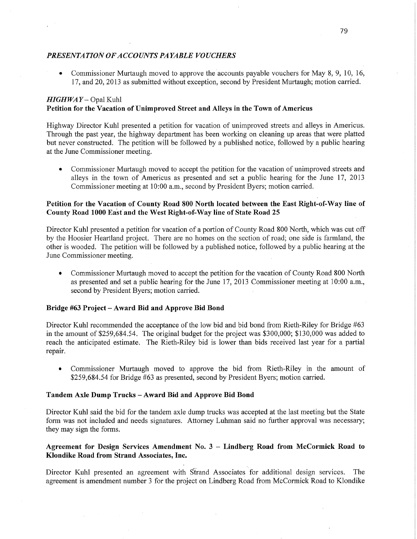## *PRESENTATION* OF *ACCOUNT S PAYABLE VOUCHERS*

Commissioner Murtaugh moved to approve the accounts payable vouchers for May 8, 9, 10, 16, 17, and 20, 2013 as submitted Without exception, second by President Murtaugh; motion carried.

# *HIGHWAY* – Opal Kuhl **Petition** for the **Vacation** of **Unimproved Street** and **Alleys** in the Town of **Americus**

Highway Director Kuhl presented a petition for vacation of unimproved streets and alleys in Americus. Through the past year, the highway department has been working on cleaning up areas that were platted but never constructed. The petition will be followed by a published notice, followed by a public hearing at the June Commissioner meeting.

0. Commissioner Murtaugh moved to accept the petition for the vacation of unimproved streets and alleys in the town of Americus as presented and set a public hearing for the June 17, 2013 Commissioner meeting at 10:00 a.m., second by President Byers; motion carried.

## **Petition** for the **Vacation** of **County Road** 800 **North located** between the **East** Right;of—Way line of County **Road 1000 EaSt'and** the **West Right-of-Way** line of **State Road** 25

Director Kuhl presented a petition for vacation of a portion of County Road 800 North, which was cut off by the Hoosier Heartland project. There are no homes on the section of road; one side is farmland, the other is wooded. The petition will be followed by a published notice, followed by a public hearing at the June Commissioner meeting.

**0** Commissioner Murtaugh moved to accept the petition for the vacation of County Road 800 North as presented and set a public hearing for the June 17, 2013 Commissioner meeting at 10:00 a.m., second by President Byers; motion carried.

## **Bridge** #63 **Project — Award** Bid and **Approve** Bid **Bond**

Director Kuhl recommended the acceptance of the low bid and bid bond from Rieth-Riley for Bridge #63 in the amount of \$259,684.54. The original budget for the project was \$300,000; \$130,000 was added to reach the anticipated estimate. The Kieth—Riley bid is lower than bids received last year for a partial repair.

**0** Commissioner Murtaugh moved to approve the bid from Kieth-Riley in the amount of \$259,684.54 for Bridge #63 as presented, second by President Byers; motion carried.

#### **Tandem Axle** Dump **Trucks — Award** Bid and **Approve** Bid Bond

Director Kuhl said the bid for the tandem axle dump trucks was accepted at the last meeting but the State form was not included and needs signatures. Attorney Luhman said no further approval was necessary; they may sign the forms.

## **Agreement** for Design **Services** Amendment No. 3 *—* **Lindberg Road from McCormick Road** to **Klondike Road from Strand Associates, Inc.**

Director Kuhl presented an agreement with Strand Associates for additional design services. The agreement is amendment number 3 for the project on Lindberg Road from McCormick Road to Klondike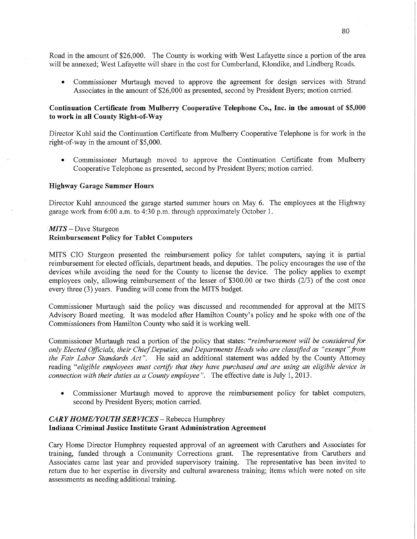Road in the amount of \$26,000. The County is working with West Lafayette since a portion of the area will be annexed; West Lafayette will share in the cost for Cumberland, Klondike, and Lindberg Roads.

**0** Commissioner Murtaugh moved to approve the agreement for design services with Strand Associates in the amount of \$26,000 as presented, second by President Byers; motion **camied.** 

# Continuation **Certificate from Mulberry Cooperative Telephone Co., Inc.** in the **amount** of **\$5,000**  .to **work** in all **County Right-of—Way**

Director Kuhl said the Continuation Certificate from Mulberry Cooperative Telephone is for work in the right-of-way in the amount of \$5,000.

**0** Commissioner Murtaugh moved to approve the Continuation Certificate from Mulberry Cooperative Telephone as presented, second by President Byers; motion carried.

### Highway **Garage Summer** Hours

Director Kuhl announced the garage started summer hours on May 6. The employees at the Highway garage work from 6:00 a.m. to 4:30 p.m. through approximately October 1.

# $MITS - Dave Sturgeon$ **Reimbursement Policy for Tablet Computers**

**MITS** CIO Sturgeon presented the reimbursement policy for tablet computers, saying it is partial reimbursement for elected officials, department heads, and deputies. The policy encourages the use of the devices While avoiding the need for the County to license the device. The policy applies to exemp<sup>t</sup> employees only, allowing reimbursement of the lesser of \$300.00 or two thirds (2/3) of the cost once every three (3) years. Funding will come from the **MITS** budget.

Commissioner Murtaugh said the policy was discussed and recommended for approval at the **MITS**  Advisory Board meeting. It was modeled after Hamilton County's policy and he spoke with one of the Commissioners from Hamilton County who said it is working well.

Commissioner Murtaugh read a portion of the policy that states: *"reimbursement will* be *considered* for *only Elected Oflicials, their Chief Deputies,* and *Departments Heads* who are *classified* as *"exempt" from*  the *Fair Labor Standards Act".* He said an additional statement was added by the County Attorney reading *"eligible employees must certify that they have purchased* and are *using* an *eligible device* in *connection with their duties* as *a County employee* ". The effective date is July 1, 2013.

**0** Commissioner Murtaugh moved to approve the reimbursement policy for tablet computers, second by President Byers; motion carried.

### *CARY HOME/Y OUTH* SER *VICES* — Rebecca Humphrey **Indiana Criminal Justice Institute Grant Administration Agreement**

Cary Home Director Humphrey requested approval of an agreement with Caruthers and Associates for training, funded through a Community Corrections grant. The representative from Caruthers and Associates came last year and provided supervisory training. The representative has been invited to return due to her expertise in diversity and cultural awareness training; items which were noted on site assessments as needing additional training.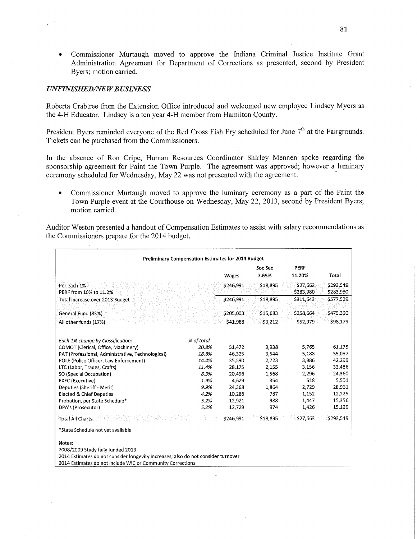**0** Commissioner Murtaugh moved to approve the Indiana Criminal Justice Institute Grant Administration Agreement for Department of Corrections as presented, second by President Byers; motion carried.

### $UNFINISHED/NEW BUSINESS$

Roberta Crabtree from the Extension Office introduced and welcomed new employee Lindsey Myers as the 4-H Educator. Lindsey is a ten year 4-H member from Hamilton County.

President Byers reminded everyone of the Red Cross Fish Fry scheduled for June 7<sup>th</sup> at the Fairgrounds. Tickets can be purchased from the Commissioners.

In the absence of Ron Cripe, Human Resources Coordinator Shirley Mennen spoke regarding the sponsorship agreement for Paint the Town Purple. The agreement was approved; however a luminary ceremony scheduled for Wednesday, May 22 was not presented with the agreement.

**0** Commissioner Murfaugh moved to approve the luminary ceremony as <sup>a</sup>part of the Paint the Town Purple event at the Courthouse on Wednesday, May 22, 2013, second by President Byers; motion carried.

Auditor Weston presented **a handout** of Compensation Estimates to assist with salary recommendations as the Commissioners prepare for the 2014 budget.

| <b>Preliminary Compensation Estimates for 2014 Budget</b>                         |            |           |          |           |           |  |
|-----------------------------------------------------------------------------------|------------|-----------|----------|-----------|-----------|--|
|                                                                                   |            |           | Soc Sec  | PERF      |           |  |
|                                                                                   |            | Wages     | 7.65%    | 11.20%    | Total     |  |
| Per each 1%                                                                       |            | \$246,991 | \$18,895 | \$27,663  | \$293,549 |  |
| PERF from 10% to 11.2%                                                            |            |           |          | \$283,980 | \$283,980 |  |
| Total increase over 2013 Budget                                                   |            | \$246,991 | \$18,895 | \$311,643 | \$577,529 |  |
| General Fund (83%)                                                                |            | \$205,003 | \$15,683 | \$258,664 | \$479,350 |  |
| All other funds (17%)                                                             |            | \$41.988  | \$3.212  | \$52,979  | \$98,179  |  |
|                                                                                   |            |           |          |           |           |  |
| Each 1% change by Classification:                                                 | % of total |           |          |           |           |  |
| COMOT (Clerical, Office, Machinery)                                               | 20.8%      | 51,472    | 3,938    | 5,765     | 61,175    |  |
| PAT (Professional, Administrative, Technological)                                 | 18.8%      | 46,325    | 3,544    | 5,188     | 55,057    |  |
| POLE (Police Officer, Law Enforcement)                                            | 14.4%      | 35,590    | 2,723    | 3,986     | 42.299    |  |
| LTC (Labor, Trades, Crafts)                                                       | 11.4%      | 28,175    | 2,155    | 3,156     | 33,486    |  |
| SO (Special Occupation)                                                           | 8.3%       | 20,496    | 1,568    | 2,296     | 24,360    |  |
| <b>EXEC (Executive)</b>                                                           | 1.9%       | 4,629     | 354      | 518       | 5.501     |  |
| Deputies (Sheriff - Merit)                                                        | 9.9%       | 24,368    | 1.864    | 2,729     | 28,961    |  |
| <b>Elected &amp; Chief Deputies</b>                                               | 4.2%       | 10,286    | 787      | 1,152     | 12,225    |  |
| Probation, per State Schedule*                                                    | 5.2%       | 12,921    | 988      | 1,447     | 15,356    |  |
| DPA's (Prosecutor)                                                                | 5.2%       | 12,729    | 974      | 1,426     | 15,129    |  |
| Total All Charts                                                                  | 40.        | \$246.991 | \$18,895 | \$27,663  | \$293,549 |  |
| *State Schedule not yet available                                                 |            |           |          |           |           |  |
| Notes:                                                                            |            |           |          |           |           |  |
| 2008/2009 Study fully funded 2013                                                 |            |           |          |           |           |  |
| 2014 Estimates do not consider longevity increases; also do not consider turnover |            |           |          |           |           |  |
| 2014 Estimates do not include WIC or Community Corrections                        |            |           |          |           |           |  |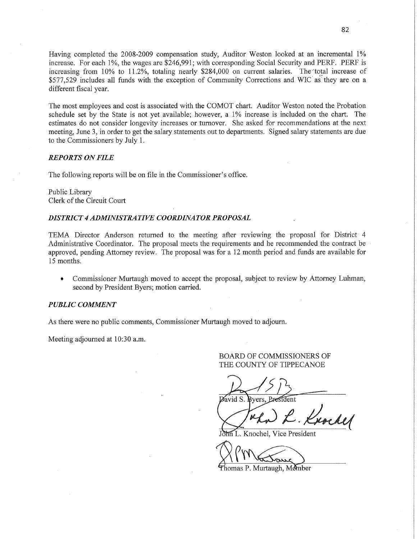Having completed the 2008-2009 compensation study, Auditor Weston looked at an incremental 1% increase. For each 1%, the wages are \$246,991; with corresponding Social Security and PERF. PERF is increasing from 10% to 11.2%, totaling nearly \$284,000 on current salaries. The total increase of \$577,529 includes all funds with the exception of Community Corrections and WIC as they are on a different fiscal year

The most employees and cost is associated with the COMOT **chart.** Auditor Weston noted the Probation schedule set by the State is not yet available; however, a 1% increase is included on the chart. The estimates do not consider longevity increases or turnover. She asked for recommendations at the next meeting, June 3, in order to get the salary statements out to departments. Signed salary statements are due to the Commissioners by July 1.

## *REPORTS* ON *FILE*

The following reports will be on file in the Commissioner's office.

Public Library Clerk of the Circuit Court

#### *DISTRICT 4 ADMINISTRATIVE COORDINA* TOR *PROPOSAL*

TEMA Director Anderson returned to the meeting after reviewing the proposal for District 4 Administrative Coordinator. The proposal meets the requirements and he recommended the contract be approved, pending Attorney review. The proposal was for a 12 month period and funds are available for 15 months.

**0** Commissioner Murtaugh moved to accept the proposal, subject to review by Attorney Luhman, second by President Byers; motion carried.

### *PUBLIC COMMENT*

As there were no public comments, Commissioner Murtaugh moved to adjourn.

Meeting adjourned at 10:30 am.

### BOARD OF COMMISSIONERS OF THE COUNTY OF TIPPECANOE

 $\overline{\text{David S}}$ . Bvers. President

 $\overline{m}$  L. Knochel, Vice President

Wm<del>arton</del>

 $P$ homas P. Murtaugh, Member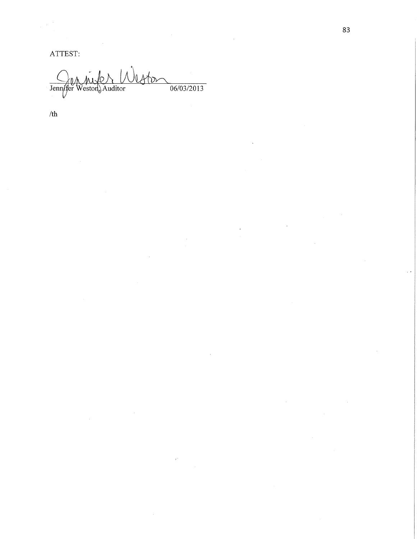lester  $06/03/2013$ Jennifer Weston, Auditor

 $/th$